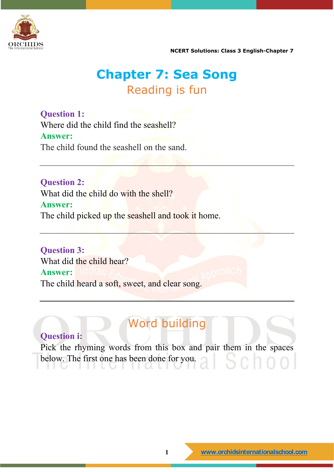

**NCERT Solutions: Class 3 English-Chapter 7** 

# **Chapter 7: Sea Song** Reading is fun

**Question 1:** Where did the child find the seashell? **Answer:** The child found the seashell on the sand.

**Question 2:** What did the child do with the shell? **Answer:** The child picked up the seashell and took it home.

**Question 3:** What did the child hear? **Answer:** The child heard a soft, sweet, and clear song.

# Word building

### **Question i:**

Pick the rhyming words from this box and pair them in the spaces below. The first one has been done for you. $Sch$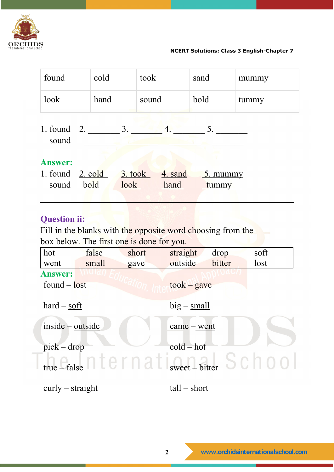

**NCERT Solutions: Class 3 English-Chapter 7** 

| found                                                      | cold |                 | took  |                 | sand |                                           | mummy |
|------------------------------------------------------------|------|-----------------|-------|-----------------|------|-------------------------------------------|-------|
| look                                                       | hand |                 | sound |                 | bold |                                           | tummy |
| 1. found $2$ .<br>sound                                    |      | 3.              |       | 4.              |      | 5.                                        |       |
| <b>Answer:</b><br>1. found $2. \text{ cold}$<br>sound bold |      | 3. took<br>look |       | 4. sand<br>hand |      | $\overline{\phantom{a}}$ . mummy<br>tummy |       |

### **Question ii:**

Fill in the blanks with the opposite word choosing from the box below. The first one is done for you.

| hot                | false | short                                                                                                     | straight                   | drop   | soft |  |  |
|--------------------|-------|-----------------------------------------------------------------------------------------------------------|----------------------------|--------|------|--|--|
| went               | small | gave                                                                                                      | outside                    | bitter | lost |  |  |
| <b>Answer:</b>     |       |                                                                                                           |                            |        |      |  |  |
| found $-\$ lost    |       |                                                                                                           | $took - gave$              |        |      |  |  |
| $hard - soft$      |       |                                                                                                           | $big$ – small              |        |      |  |  |
| inside - outside   |       |                                                                                                           |                            |        |      |  |  |
|                    |       |                                                                                                           | $came - went$              |        |      |  |  |
| $pick - drop$      |       |                                                                                                           | $\text{cold} - \text{hot}$ |        |      |  |  |
|                    |       | $_{\text{true}}$ $_{\text{false}}$ $\cap$ $\Gamma$ $\cap$ $\cap$ $\Gamma$ $_{\text{sweet}-\text{bitter}}$ |                            |        |      |  |  |
|                    |       |                                                                                                           |                            |        |      |  |  |
| $curly - straight$ |       |                                                                                                           | $tall - short$             |        |      |  |  |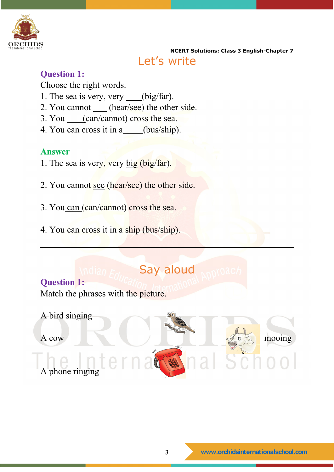

**NCERT Solutions: Class 3 English-Chapter 7**  Let's write

#### **Question 1:**

Choose the right words.

- 1. The sea is very, very  $\_\_ (big/ far)$ .
- 2. You cannot (hear/see) the other side.
- 3. You (can/cannot) cross the sea.
- 4. You can cross it in a (bus/ship).

### **Answer**

- 1. The sea is very, very big (big/far).
- 2. You cannot see (hear/see) the other side.
- 3. You can (can/cannot) cross the sea.
- 4. You can cross it in a ship (bus/ship).

# Say aloud

**Question 1:** Match the phrases with the picture.